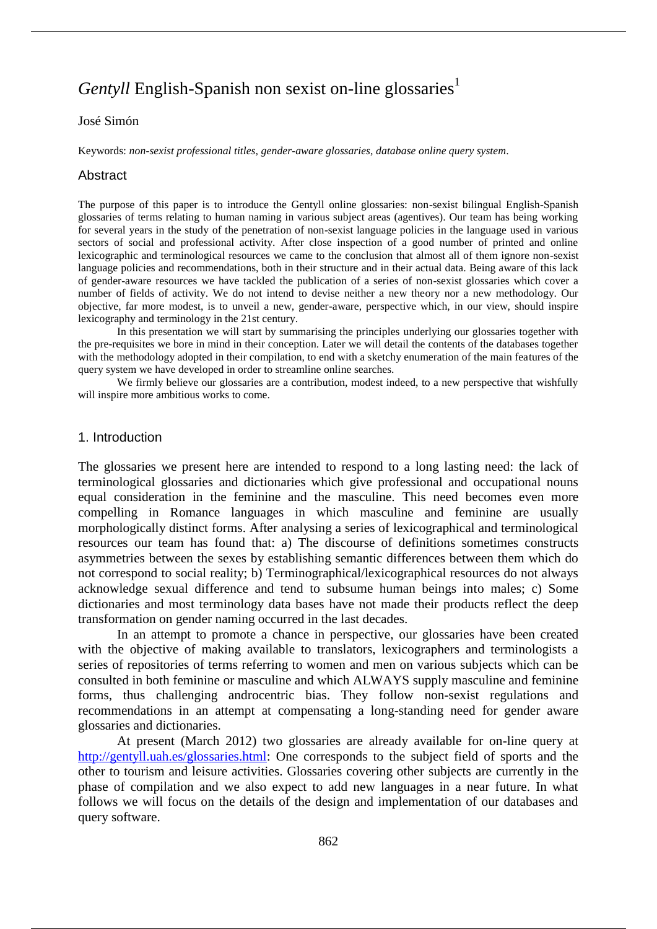# *Gentyll* English-Spanish non sexist on-line glossaries<sup>1</sup>

#### José Simón

Keywords: *non-sexist professional titles*, *gender-aware glossaries*, *database online query system*.

#### Abstract

The purpose of this paper is to introduce the Gentyll online glossaries: non-sexist bilingual English-Spanish glossaries of terms relating to human naming in various subject areas (agentives). Our team has being working for several years in the study of the penetration of non-sexist language policies in the language used in various sectors of social and professional activity. After close inspection of a good number of printed and online lexicographic and terminological resources we came to the conclusion that almost all of them ignore non-sexist language policies and recommendations, both in their structure and in their actual data. Being aware of this lack of gender-aware resources we have tackled the publication of a series of non-sexist glossaries which cover a number of fields of activity. We do not intend to devise neither a new theory nor a new methodology. Our objective, far more modest, is to unveil a new, gender-aware, perspective which, in our view, should inspire lexicography and terminology in the 21st century.

In this presentation we will start by summarising the principles underlying our glossaries together with the pre-requisites we bore in mind in their conception. Later we will detail the contents of the databases together with the methodology adopted in their compilation, to end with a sketchy enumeration of the main features of the query system we have developed in order to streamline online searches.

We firmly believe our glossaries are a contribution, modest indeed, to a new perspective that wishfully will inspire more ambitious works to come.

#### 1. Introduction

The glossaries we present here are intended to respond to a long lasting need: the lack of terminological glossaries and dictionaries which give professional and occupational nouns equal consideration in the feminine and the masculine. This need becomes even more compelling in Romance languages in which masculine and feminine are usually morphologically distinct forms. After analysing a series of lexicographical and terminological resources our team has found that: a) The discourse of definitions sometimes constructs asymmetries between the sexes by establishing semantic differences between them which do not correspond to social reality; b) Terminographical/lexicographical resources do not always acknowledge sexual difference and tend to subsume human beings into males; c) Some dictionaries and most terminology data bases have not made their products reflect the deep transformation on gender naming occurred in the last decades.

In an attempt to promote a chance in perspective, our glossaries have been created with the objective of making available to translators, lexicographers and terminologists a series of repositories of terms referring to women and men on various subjects which can be consulted in both feminine or masculine and which ALWAYS supply masculine and feminine forms, thus challenging androcentric bias. They follow non-sexist regulations and recommendations in an attempt at compensating a long-standing need for gender aware glossaries and dictionaries.

At present (March 2012) two glossaries are already available for on-line query at http://gentyll.uah.es/glossaries.html: One corresponds to the subject field of sports and the other to tourism and leisure activities. Glossaries covering other subjects are currently in the phase of compilation and we also expect to add new languages in a near future. In what follows we will focus on the details of the design and implementation of our databases and query software.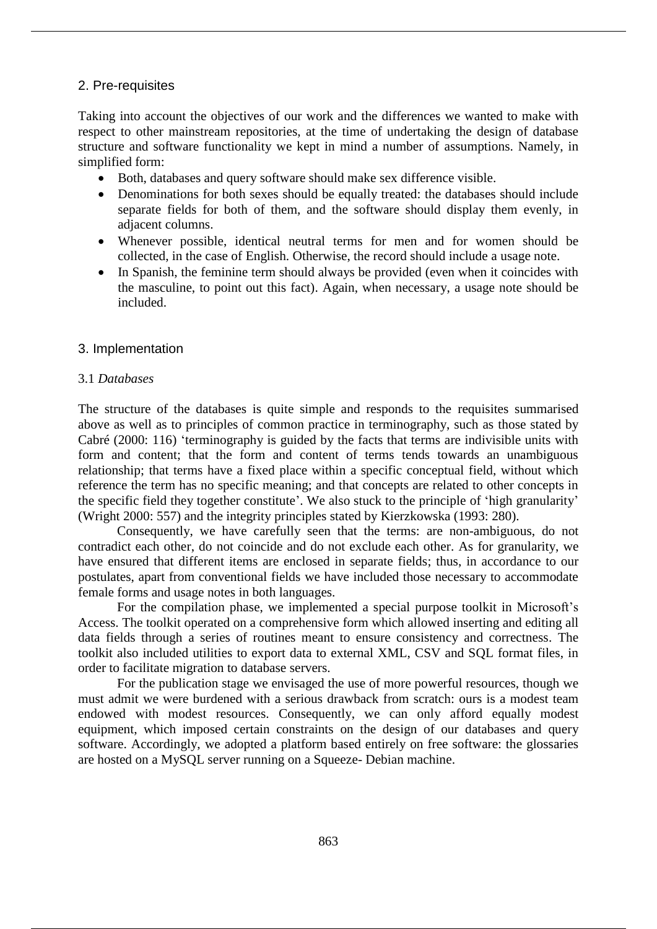#### 2. Pre-requisites

Taking into account the objectives of our work and the differences we wanted to make with respect to other mainstream repositories, at the time of undertaking the design of database structure and software functionality we kept in mind a number of assumptions. Namely, in simplified form:

- Both, databases and query software should make sex difference visible.
- Denominations for both sexes should be equally treated: the databases should include separate fields for both of them, and the software should display them evenly, in adjacent columns.
- Whenever possible, identical neutral terms for men and for women should be collected, in the case of English. Otherwise, the record should include a usage note.
- In Spanish, the feminine term should always be provided (even when it coincides with the masculine, to point out this fact). Again, when necessary, a usage note should be included.

#### 3. Implementation

#### 3.1 *Databases*

The structure of the databases is quite simple and responds to the requisites summarised above as well as to principles of common practice in terminography, such as those stated by Cabré (2000: 116) 'terminography is guided by the facts that terms are indivisible units with form and content; that the form and content of terms tends towards an unambiguous relationship; that terms have a fixed place within a specific conceptual field, without which reference the term has no specific meaning; and that concepts are related to other concepts in the specific field they together constitute'. We also stuck to the principle of 'high granularity' (Wright 2000: 557) and the integrity principles stated by Kierzkowska (1993: 280).

Consequently, we have carefully seen that the terms: are non-ambiguous, do not contradict each other, do not coincide and do not exclude each other. As for granularity, we have ensured that different items are enclosed in separate fields; thus, in accordance to our postulates, apart from conventional fields we have included those necessary to accommodate female forms and usage notes in both languages.

For the compilation phase, we implemented a special purpose toolkit in Microsoft's Access. The toolkit operated on a comprehensive form which allowed inserting and editing all data fields through a series of routines meant to ensure consistency and correctness. The toolkit also included utilities to export data to external XML, CSV and SQL format files, in order to facilitate migration to database servers.

For the publication stage we envisaged the use of more powerful resources, though we must admit we were burdened with a serious drawback from scratch: ours is a modest team endowed with modest resources. Consequently, we can only afford equally modest equipment, which imposed certain constraints on the design of our databases and query software. Accordingly, we adopted a platform based entirely on free software: the glossaries are hosted on a MySQL server running on a Squeeze- Debian machine.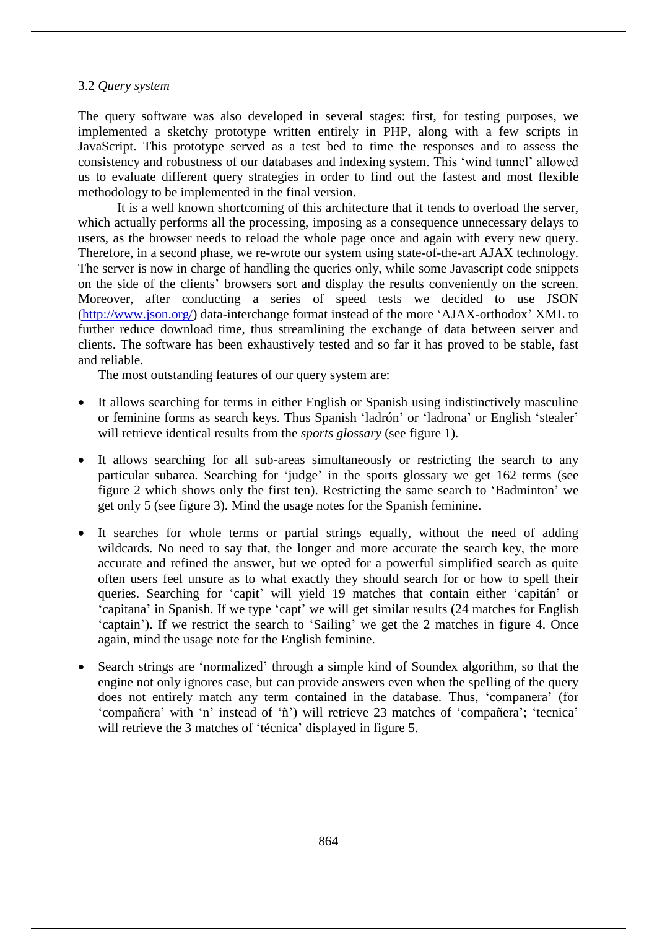#### 3.2 *Query system*

The query software was also developed in several stages: first, for testing purposes, we implemented a sketchy prototype written entirely in PHP, along with a few scripts in JavaScript. This prototype served as a test bed to time the responses and to assess the consistency and robustness of our databases and indexing system. This 'wind tunnel' allowed us to evaluate different query strategies in order to find out the fastest and most flexible methodology to be implemented in the final version.

It is a well known shortcoming of this architecture that it tends to overload the server, which actually performs all the processing, imposing as a consequence unnecessary delays to users, as the browser needs to reload the whole page once and again with every new query. Therefore, in a second phase, we re-wrote our system using state-of-the-art AJAX technology. The server is now in charge of handling the queries only, while some Javascript code snippets on the side of the clients' browsers sort and display the results conveniently on the screen. Moreover, after conducting a series of speed tests we decided to use JSON (http://www.json.org/) data-interchange format instead of the more 'AJAX-orthodox' XML to further reduce download time, thus streamlining the exchange of data between server and clients. The software has been exhaustively tested and so far it has proved to be stable, fast and reliable.

The most outstanding features of our query system are:

- It allows searching for terms in either English or Spanish using indistinctively masculine or feminine forms as search keys. Thus Spanish 'ladrón' or 'ladrona' or English 'stealer' will retrieve identical results from the *sports glossary* (see figure 1).
- It allows searching for all sub-areas simultaneously or restricting the search to any particular subarea. Searching for 'judge' in the sports glossary we get 162 terms (see figure 2 which shows only the first ten). Restricting the same search to 'Badminton' we get only 5 (see figure 3). Mind the usage notes for the Spanish feminine.
- It searches for whole terms or partial strings equally, without the need of adding wildcards. No need to say that, the longer and more accurate the search key, the more accurate and refined the answer, but we opted for a powerful simplified search as quite often users feel unsure as to what exactly they should search for or how to spell their queries. Searching for 'capit' will yield 19 matches that contain either 'capitán' or 'capitana' in Spanish. If we type 'capt' we will get similar results (24 matches for English 'captain'). If we restrict the search to 'Sailing' we get the 2 matches in figure 4. Once again, mind the usage note for the English feminine.
- Search strings are 'normalized' through a simple kind of Soundex algorithm, so that the engine not only ignores case, but can provide answers even when the spelling of the query does not entirely match any term contained in the database. Thus, 'companera' (for 'compañera' with 'n' instead of 'ñ') will retrieve 23 matches of 'compañera'; 'tecnica' will retrieve the 3 matches of 'técnica' displayed in figure 5.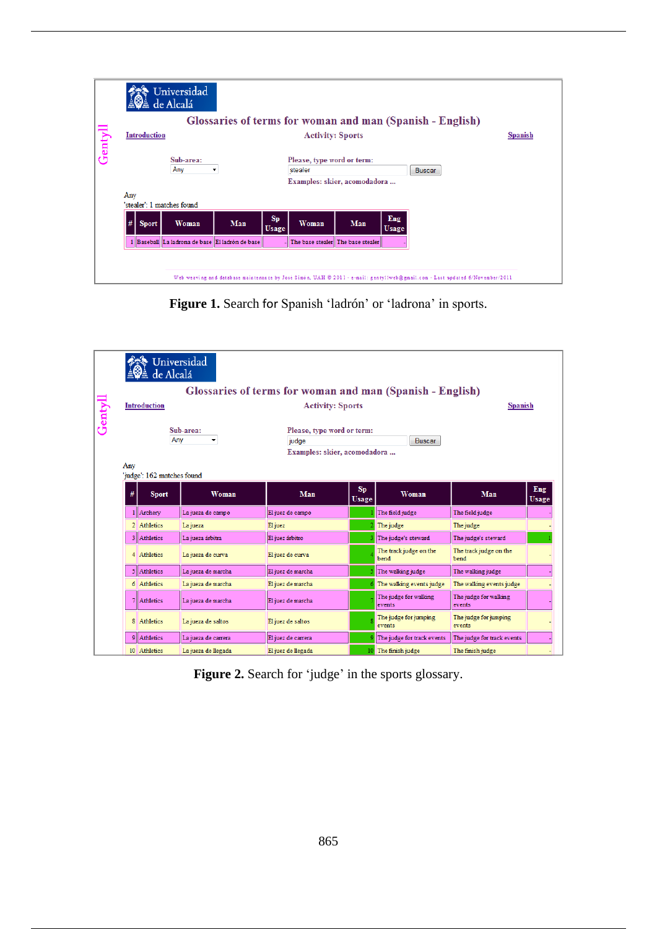|             |                                                     |              | Universidad<br>de Alcalá                        |     |                         |                                                                       |                                   |                     |                                                                                                                              |
|-------------|-----------------------------------------------------|--------------|-------------------------------------------------|-----|-------------------------|-----------------------------------------------------------------------|-----------------------------------|---------------------|------------------------------------------------------------------------------------------------------------------------------|
|             |                                                     |              |                                                 |     |                         |                                                                       |                                   |                     | Glossaries of terms for woman and man (Spanish - English)                                                                    |
|             | <b>Introduction</b>                                 |              |                                                 |     | <b>Activity: Sports</b> |                                                                       |                                   | <b>Spanish</b>      |                                                                                                                              |
| $rac{1}{2}$ | Sub-area:<br>Any<br>$\overline{\phantom{a}}$<br>Any |              |                                                 |     |                         | Please, type word or term:<br>stealer<br>Examples: skier, acomodadora |                                   |                     | <b>Buscar</b>                                                                                                                |
|             |                                                     |              | 'stealer': 1 matches found                      |     |                         |                                                                       |                                   |                     |                                                                                                                              |
|             | #                                                   | <b>Sport</b> | Woman                                           | Man | Sp<br><b>Usage</b>      | Woman                                                                 | Man                               | Eng<br><b>Usage</b> |                                                                                                                              |
|             |                                                     |              | 1 Baseball La ladrona de base El ladrón de base |     |                         |                                                                       | The base stealer The base stealer |                     |                                                                                                                              |
|             |                                                     |              |                                                 |     |                         |                                                                       |                                   |                     | Web weaving and database maintenance by José Simón, UAH © 2011 - e-mail: gentyllweb@gmail.com - Last updated 6/November/2011 |

**Figure 1.** Search for Spanish 'ladrón' or 'ladrona' in sports.

|       |                       | Universidad<br>de Alcalá<br><b>Introduction</b> |                     | Glossaries of terms for woman and man (Spanish - English)<br><b>Activity: Sports</b> |                                                                             |                                 | <b>Spanish</b>                  |              |
|-------|-----------------------|-------------------------------------------------|---------------------|--------------------------------------------------------------------------------------|-----------------------------------------------------------------------------|---------------------------------|---------------------------------|--------------|
| Genty | Sub-area:<br>Any<br>۰ |                                                 |                     | judge                                                                                | Please, type word or term:<br><b>Buscar</b><br>Examples: skier, acomodadora |                                 |                                 |              |
|       | Any                   | 'judge': 162 matches found                      |                     |                                                                                      |                                                                             |                                 |                                 |              |
|       | #                     | <b>Sport</b>                                    | Woman               | Man                                                                                  | Sp<br><b>Usage</b>                                                          | Woman                           | Man                             | Eng<br>Usage |
|       |                       | 1 Archery                                       | La jueza de campo   | El juez de campo                                                                     |                                                                             | The field judge                 | The field judge                 |              |
|       |                       | 2 Athletics                                     | La jueza            | El juez                                                                              |                                                                             | The judge                       | The judge                       |              |
|       |                       | 3 Athletics                                     | La jueza árbitra    | El juez árbitro                                                                      |                                                                             | The judge's steward             | The judge's steward             |              |
|       |                       | 4 Athletics                                     | La jueza de curva   | El juez de curva                                                                     |                                                                             | The track judge on the<br>bend  | The track judge on the<br>bend  |              |
|       |                       | 5 Athletics                                     | La jueza de marcha  | El juez de marcha                                                                    |                                                                             | The walking judge               | The walking judge               |              |
|       |                       | 6 Athletics                                     | La jueza de marcha  | El juez de marcha                                                                    |                                                                             | The walking events judge        | The walking events judge        |              |
|       |                       | <b>Athletics</b>                                | La jueza de marcha  | El juez de marcha                                                                    |                                                                             | The judge for walking<br>events | The judge for walking<br>events |              |
|       |                       | 8 Athletics                                     | La jueza de saltos  | El juez de saltos                                                                    |                                                                             | The judge for jumping<br>events | The judge for jumping<br>events |              |
|       |                       | 9 Athletics                                     | La iueza de carrera | El juez de carrera                                                                   |                                                                             | The judge for track events      | The judge for track events      |              |
|       |                       | 10 Athletics                                    | La jueza de llegada | El juez de llegada                                                                   |                                                                             | 10 The finish judge             | The finish judge                |              |

Figure 2. Search for 'judge' in the sports glossary.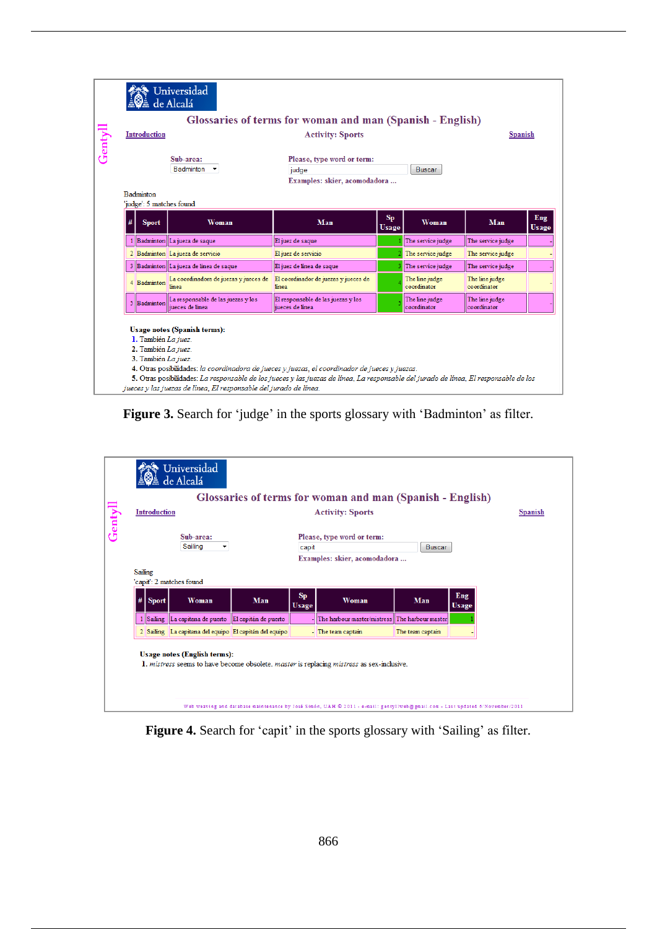|      |                                                                                                                                                                                                                                                                                                                                                                                                                          |                                          | Universidad<br>de Alcalá                              | Glossaries of terms for woman and man (Spanish - English)           |                      |                               |                               |                     |  |  |  |
|------|--------------------------------------------------------------------------------------------------------------------------------------------------------------------------------------------------------------------------------------------------------------------------------------------------------------------------------------------------------------------------------------------------------------------------|------------------------------------------|-------------------------------------------------------|---------------------------------------------------------------------|----------------------|-------------------------------|-------------------------------|---------------------|--|--|--|
|      |                                                                                                                                                                                                                                                                                                                                                                                                                          | <b>Introduction</b>                      |                                                       | <b>Activity: Sports</b>                                             |                      |                               | <b>Spanish</b>                |                     |  |  |  |
| entv | Sub-area:<br>Badminton                                                                                                                                                                                                                                                                                                                                                                                                   |                                          |                                                       | Please, type word or term:<br>judge<br>Examples: skier, acomodadora |                      |                               |                               |                     |  |  |  |
|      |                                                                                                                                                                                                                                                                                                                                                                                                                          | <b>Badminton</b>                         |                                                       |                                                                     |                      |                               |                               |                     |  |  |  |
|      |                                                                                                                                                                                                                                                                                                                                                                                                                          | 'judge': 5 matches found<br><b>Sport</b> | Woman                                                 | Man                                                                 | $Sp$<br><b>Usage</b> | Woman                         | Man                           | Eng<br><b>Usage</b> |  |  |  |
|      |                                                                                                                                                                                                                                                                                                                                                                                                                          |                                          | 1 Badminton La jueza de saque                         | El juez de saque                                                    |                      | The service judge             | The service judge             |                     |  |  |  |
|      |                                                                                                                                                                                                                                                                                                                                                                                                                          |                                          | 2 Badminton La jueza de servicio                      | El juez de servicio                                                 |                      | The service judge             | The service judge             |                     |  |  |  |
|      |                                                                                                                                                                                                                                                                                                                                                                                                                          |                                          | 3 Badminton La jueza de linea de saque                | El juez de linea de saque                                           |                      | The service judge             | The service judge             |                     |  |  |  |
|      |                                                                                                                                                                                                                                                                                                                                                                                                                          | 4 Badminton                              | La coordinadora de juezas y jueces de<br>linea        | El coordinador de juezas y jueces de<br>linea                       |                      | The line judge<br>coordinator | The line judge<br>coordinator |                     |  |  |  |
|      |                                                                                                                                                                                                                                                                                                                                                                                                                          | 5 Badminton                              | La responsable de las juezas y los<br>jueces de linea | El responsable de las juezas y los<br>jueces de linea               |                      | The line judge<br>coordinator | The line judge<br>coordinator |                     |  |  |  |
|      | <b>Usage notes (Spanish terms):</b><br>1. También La juez.<br>2. También La juez.<br>3. También La juez.<br>4. Otras posibilidades: la coordinadora de jueces y juezas, el coordinador de jueces y juezas.<br>5. Otras posibilidades: La responsable de los jueces y las juezas de línea, La responsable del jurado de línea, El responsable de los<br>jueces y las juezas de línea, El responsable del jurado de línea. |                                          |                                                       |                                                                     |                      |                               |                               |                     |  |  |  |

Figure 3. Search for 'judge' in the sports glossary with 'Badminton' as filter.

|              |                     | Universidad<br>de Alcalá                               |                      |                    | Glossaries of terms for woman and man (Spanish - English)                                 |                  |                     |
|--------------|---------------------|--------------------------------------------------------|----------------------|--------------------|-------------------------------------------------------------------------------------------|------------------|---------------------|
|              | <b>Introduction</b> |                                                        |                      |                    | <b>Activity: Sports</b>                                                                   |                  | <b>Spanish</b>      |
|              |                     |                                                        |                      |                    |                                                                                           |                  |                     |
|              |                     | Sub-area:                                              |                      |                    | Please, type word or term:                                                                |                  |                     |
|              |                     | Sailing<br>$\overline{\phantom{a}}$                    |                      | capit              |                                                                                           | Buscar           |                     |
|              |                     |                                                        |                      |                    | Examples: skier, acomodadora                                                              |                  |                     |
| Sailing<br># | <b>Sport</b>        | 'capit': 2 matches found<br>Woman                      | Man                  | Sp<br><b>Usage</b> | Woman                                                                                     | Man              | Eng<br><b>Usage</b> |
|              |                     | 1 Sailing La capitana de puerto                        | El capitán de puerto |                    | The harbour master/mistress The harbour master                                            |                  |                     |
|              |                     | 2 Sailing La capitana del equipo El capitán del equipo |                      |                    | - The team captain                                                                        | The team captain |                     |
|              |                     | <b>Usage notes (English terms):</b>                    |                      |                    | 1. mistress seems to have become obsolete. master is replacing mistress as sex-inclusive. |                  |                     |

Figure 4. Search for 'capit' in the sports glossary with 'Sailing' as filter.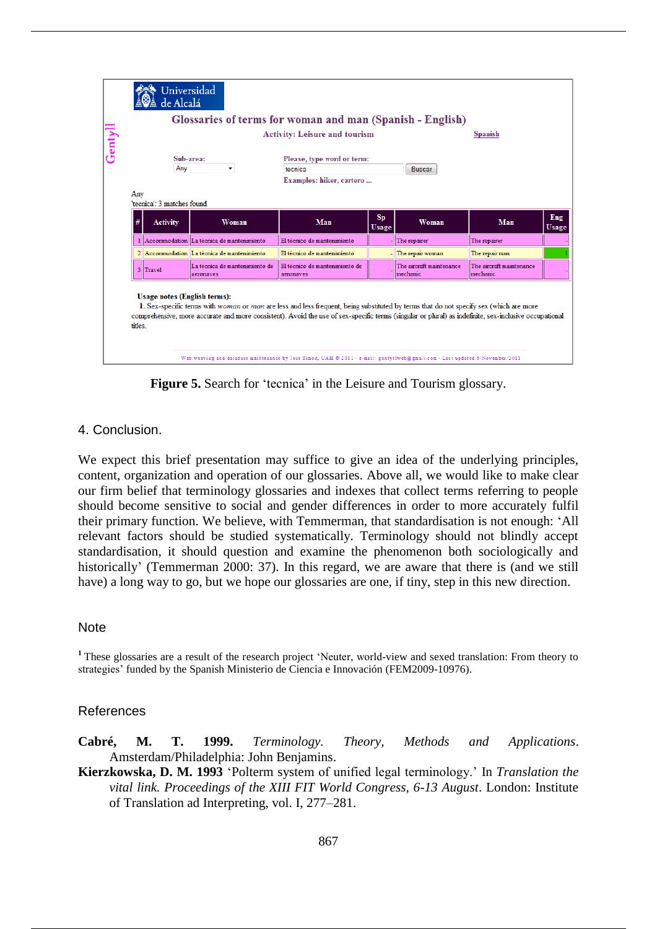| $_{\rm centv}$ |         | Universidad<br>de Alcalá<br>Glossaries of terms for woman and man (Spanish - English)<br>Sub-area: | <b>Spanish</b>                              |                                                                                                                                                                                                                                                                                                 |                           |                                      |                                      |              |
|----------------|---------|----------------------------------------------------------------------------------------------------|---------------------------------------------|-------------------------------------------------------------------------------------------------------------------------------------------------------------------------------------------------------------------------------------------------------------------------------------------------|---------------------------|--------------------------------------|--------------------------------------|--------------|
|                |         | Any                                                                                                | ۰                                           | tecnica                                                                                                                                                                                                                                                                                         |                           | <b>Buscar</b>                        |                                      |              |
|                |         |                                                                                                    |                                             | Examples: hiker, cartero                                                                                                                                                                                                                                                                        |                           |                                      |                                      |              |
|                | Any     | 'tecnica': 3 matches found                                                                         |                                             |                                                                                                                                                                                                                                                                                                 |                           |                                      |                                      |              |
|                |         | <b>Activity</b>                                                                                    | Woman                                       | Man                                                                                                                                                                                                                                                                                             | <b>Sp</b><br><b>Usage</b> | Woman                                | Man                                  | Eng<br>Usage |
|                |         |                                                                                                    | 1 Accommodation La técnica de mantenimiento | El técnico de mantenimiento                                                                                                                                                                                                                                                                     |                           | The repairer                         | The repairer                         |              |
|                |         |                                                                                                    | 2 Accommodation La técnica de mantenimiento | El técnico de mantenimiento                                                                                                                                                                                                                                                                     |                           | - The repair woman                   | The repair man                       |              |
|                |         | 3 Travel                                                                                           | La técnica de mantenimiento de<br>aeronaves | El técnico de mantenimiento de<br>aeronaves                                                                                                                                                                                                                                                     |                           | The aircraft maintenance<br>mechanic | The aircraft maintenance<br>mechanic |              |
|                |         |                                                                                                    |                                             |                                                                                                                                                                                                                                                                                                 |                           |                                      |                                      |              |
|                | titles. | <b>Usage notes (English terms):</b>                                                                |                                             | 1. Sex-specific terms with woman or man are less and less frequent, being substituted by terms that do not specify sex (which are more<br>comprehensive, more accurate and more consistent). Avoid the use of sex-specific terms (singular or plural) as indefinite, sex-inclusive occupational |                           |                                      |                                      |              |

**Figure 5.** Search for 'tecnica' in the Leisure and Tourism glossary.

## 4. Conclusion.

We expect this brief presentation may suffice to give an idea of the underlying principles, content, organization and operation of our glossaries. Above all, we would like to make clear our firm belief that terminology glossaries and indexes that collect terms referring to people should become sensitive to social and gender differences in order to more accurately fulfil their primary function. We believe, with Temmerman, that standardisation is not enough: 'All relevant factors should be studied systematically. Terminology should not blindly accept standardisation, it should question and examine the phenomenon both sociologically and historically' (Temmerman 2000: 37). In this regard, we are aware that there is (and we still have) a long way to go, but we hope our glossaries are one, if tiny, step in this new direction.

### **Note**

**<sup>1</sup>**These glossaries are a result of the research project 'Neuter, world-view and sexed translation: From theory to strategies' funded by the Spanish Ministerio de Ciencia e Innovación (FEM2009-10976).

## References

- **Cabré, M. T. 1999.** *Terminology. Theory, Methods and Applications*. Amsterdam/Philadelphia: John Benjamins.
- **Kierzkowska, D. M. 1993** 'Polterm system of unified legal terminology.' In *Translation the vital link. Proceedings of the XIII FIT World Congress, 6-13 August*. London: Institute of Translation ad Interpreting, vol. I, 277–281.